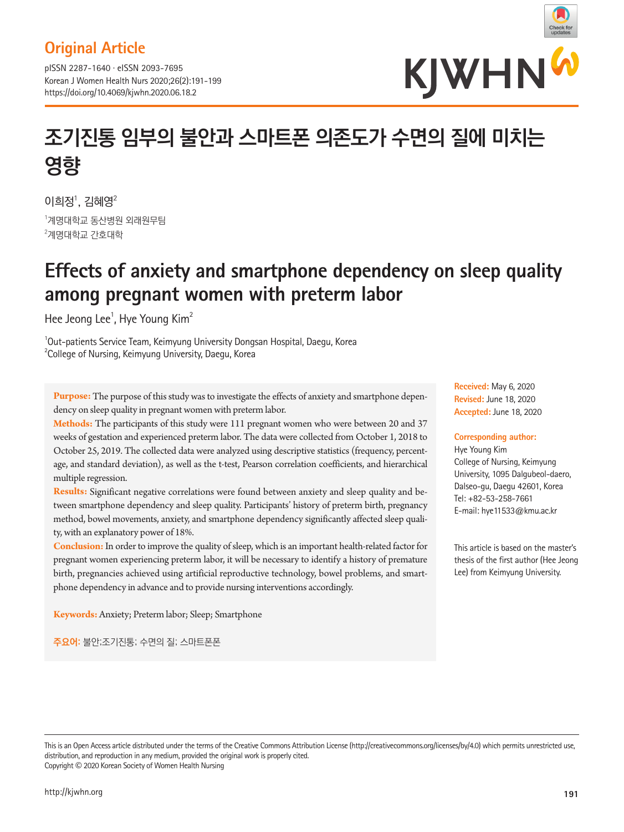## **Original Article**

pISSN 2287-1640 · eISSN 2093-7695 Korean J Women Health Nurs 2020;26(2):191-199 https://doi.org/10.4069/kjwhn.2020.06.18.2



# **조기진통 임부의 불안과 스마트폰 의존도가 수면의 질에 미치는 영향**

이희정 $^1$ , 김혜영 $^2$  $\,$  $\,$ '계명대학교 동산병원 외래원무팀  $^{2}$ 계명대학교 간호대학

## **Effects of anxiety and smartphone dependency on sleep quality among pregnant women with preterm labor**

Hee Jeong Lee<sup>1</sup>, Hye Young Kim<sup>2</sup>

<sup>1</sup>Out-patients Service Team, Keimyung University Dongsan Hospital, Daegu, Korea <sup>2</sup>College of Nursing, Keimyung University, Daegu, Korea

**Purpose:** The purpose of this study was to investigate the effects of anxiety and smartphone dependency on sleep quality in pregnant women with preterm labor.

**Methods:** The participants of this study were 111 pregnant women who were between 20 and 37 weeks of gestation and experienced preterm labor. The data were collected from October 1, 2018 to October 25, 2019. The collected data were analyzed using descriptive statistics (frequency, percentage, and standard deviation), as well as the t-test, Pearson correlation coefficients, and hierarchical multiple regression.

**Results:** Significant negative correlations were found between anxiety and sleep quality and between smartphone dependency and sleep quality. Participants' history of preterm birth, pregnancy method, bowel movements, anxiety, and smartphone dependency significantly affected sleep quality, with an explanatory power of 18%.

**Conclusion:** In order to improve the quality of sleep, which is an important health-related factor for pregnant women experiencing preterm labor, it will be necessary to identify a history of premature birth, pregnancies achieved using artificial reproductive technology, bowel problems, and smartphone dependency in advance and to provide nursing interventions accordingly.

**Keywords:** Anxiety; Preterm labor; Sleep; Smartphone

**주요어:** 불안;조기진통; 수면의 질; 스마트폰폰

**Received:** May 6, 2020 **Revised:** June 18, 2020 **Accepted:** June 18, 2020

#### **Corresponding author:**

Hye Young Kim College of Nursing, Keimyung University, 1095 Dalgubeol-daero, Dalseo-gu, Daegu 42601, Korea Tel: +82-53-258-7661 E-mail: hye11533@kmu.ac.kr

This article is based on the master's thesis of the first author (Hee Jeong Lee) from Keimyung University.

This is an Open Access article distributed under the terms of the Creative Commons Attribution License (http://creativecommons.org/licenses/by/4.0) which permits unrestricted use, distribution, and reproduction in any medium, provided the original work is properly cited. Copyright © 2020 Korean Society of Women Health Nursing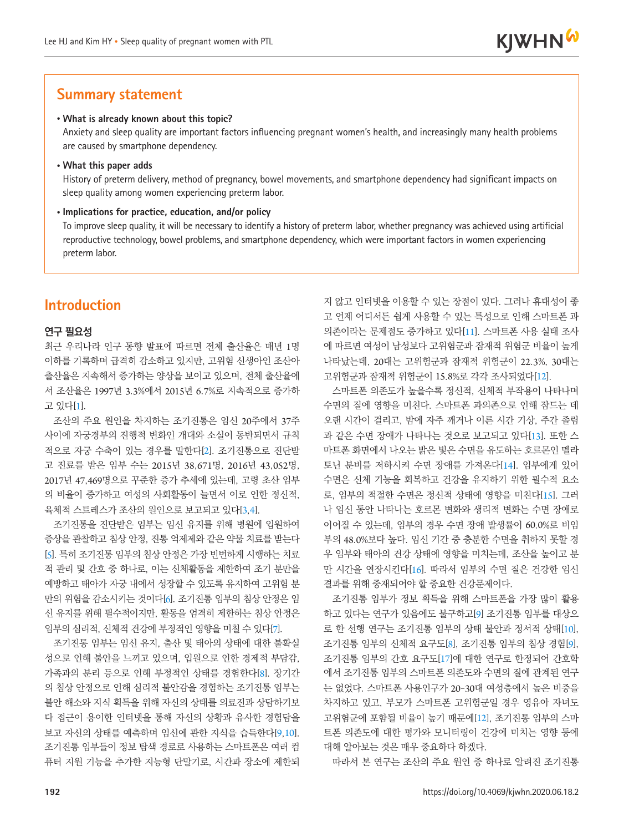## **Summary statement**

#### • **What is already known about this topic?**

Anxiety and sleep quality are important factors influencing pregnant women's health, and increasingly many health problems are caused by smartphone dependency.

• **What this paper adds**

History of preterm delivery, method of pregnancy, bowel movements, and smartphone dependency had significant impacts on sleep quality among women experiencing preterm labor.

#### • **Implications for practice, education, and/or policy**

To improve sleep quality, it will be necessary to identify a history of preterm labor, whether pregnancy was achieved using artificial reproductive technology, bowel problems, and smartphone dependency, which were important factors in women experiencing preterm labor.

## **Introduction**

#### **연구 필요성**

최근 우리나라 인구 동향 발표에 따르면 전체 출산율은 매년 1명 이하를 기록하며 급격히 감소하고 있지만, 고위험 신생아인 조산아 출산율은 지속해서 증가하는 양상을 보이고 있으며, 전체 출산율에 서 조산율은 1997년 3.3%에서 2015년 6.7%로 지속적으로 증가하 고 있다[[1](#page-6-0)].

조산의 주요 원인을 차지하는 조기진통은 임신 20주에서 37주 사이에 자궁경부의 진행적 변화인 개대와 소실이 동반되면서 규칙 적으로 자궁 수축이 있는 경우를 말한다[[2](#page-6-1)]. 조기진통으로 진단받 고 진료를 받은 임부 수는 2015년 38,671명, 2016년 43,052명, 2017년 47,469명으로 꾸준한 증가 추세에 있는데, 고령 초산 임부 의 비율이 증가하고 여성의 사회활동이 늘면서 이로 인한 정신적, 육체적 스트레스가 조산의 원인으로 보고되고 있다[[3](#page-6-2),[4](#page-6-3)].

조기진통을 진단받은 임부는 임신 유지를 위해 병원에 입원하여 증상을 관찰하고 침상 안정, 진통 억제제와 같은 약물 치료를 받는다 [[5](#page-6-4)]. 특히 조기진통 임부의 침상 안정은 가장 빈번하게 시행하는 치료 적 관리 및 간호 중 하나로, 이는 신체활동을 제한하여 조기 분만을 예방하고 태아가 자궁 내에서 성장할 수 있도록 유지하여 고위험 분 만의 위험을 감소시키는 것이다[[6](#page-7-0)]. 조기진통 임부의 침상 안정은 임 신 유지를 위해 필수적이지만, 활동을 엄격히 제한하는 침상 안정은 임부의 심리적, 신체적 건강에 부정적인 영향을 미칠 수 있다[[7](#page-7-1)].

조기진통 임부는 임신 유지, 출산 및 태아의 상태에 대한 불확실 성으로 인해 불안을 느끼고 있으며, 입원으로 인한 경제적 부담감, 가족과의 분리 등으로 인해 부정적인 상태를 경험한다[[8](#page-7-1)]. 장기간 의 침상 안정으로 인해 심리적 불안감을 경험하는 조기진통 임부는 불안 해소와 지식 획득을 위해 자신의 상태를 의료진과 상담하기보 다 접근이 용이한 인터넷을 통해 자신의 상황과 유사한 경험담을 보고 자신의 상태를 예측하며 임신에 관한 지식을 습득한다[[9](#page-7-1),[10](#page-7-1)]. 조기진통 임부들이 정보 탐색 경로로 사용하는 스마트폰은 여러 컴 퓨터 지원 기능을 추가한 지능형 단말기로, 시간과 장소에 제한되

지 않고 인터넷을 이용할 수 있는 장점이 있다. 그러나 휴대성이 좋 고 언제 어디서든 쉽게 사용할 수 있는 특성으로 인해 스마트폰 과 의존이라는 문제점도 증가하고 있다[[11](#page-7-2)]. 스마트폰 사용 실태 조사 에 따르면 여성이 남성보다 고위험군과 잠재적 위험군 비율이 높게 나타났는데, 20대는 고위험군과 잠재적 위험군이 22.3%, 30대는 고위험군과 잠재적 위험군이 15.8%로 각각 조사되었다[[12](#page-7-3)].

**KJWHN<sup>W</sup>** 

스마트폰 의존도가 높을수록 정신적, 신체적 부작용이 나타나며 수면의 질에 영향을 미친다. 스마트폰 과의존으로 인해 잠드는 데 오랜 시간이 걸리고, 밤에 자주 깨거나 이른 시간 기상, 주간 졸림 과 같은 수면 장애가 나타나는 것으로 보고되고 있다[[13](#page-7-4)]. 또한 스 마트폰 화면에서 나오는 밝은 빛은 수면을 유도하는 호르몬인 멜라 토닌 분비를 저하시켜 수면 장애를 가져온다[[14](#page-7-5)]. 임부에게 있어 수면은 신체 기능을 회복하고 건강을 유지하기 위한 필수적 요소 로, 임부의 적절한 수면은 정신적 상태에 영향을 미친다[[15](#page-7-2)]. 그러 나 임신 동안 나타나는 호르몬 변화와 생리적 변화는 수면 장애로 이어질 수 있는데, 임부의 경우 수면 장애 발생률이 60.0%로 비임 부의 48.0%보다 높다. 임신 기간 중 충분한 수면을 취하지 못할 경 우 임부와 태아의 건강 상태에 영향을 미치는데, 조산을 높이고 분 만 시간을 연장시킨다[[16](#page-7-6)]. 따라서 임부의 수면 질은 건강한 임신 결과를 위해 중재되어야 할 중요한 건강문제이다.

조기진통 임부가 정보 획득을 위해 스마트폰을 가장 많이 활용 하고 있다는 연구가 있음에도 불구하고[[9](#page-7-1)] 조기진통 임부를 대상으 로 한 선행 연구는 조기진통 임부의 상태 불안과 정서적 상태[[10](#page-7-1)], 조기진통 임부의 신체적 요구도[[8](#page-7-1)], 조기진통 임부의 침상 경험[[9](#page-7-1)], 조기진통 임부의 간호 요구도[[17](#page-7-7)]에 대한 연구로 한정되어 간호학 에서 조기진통 임부의 스마트폰 의존도와 수면의 질에 관계된 연구 는 없었다. 스마트폰 사용인구가 20-30대 여성층에서 높은 비중을 차지하고 있고, 부모가 스마트폰 고위험군일 경우 영유아 자녀도 고위험군에 포함될 비율이 높기 때문에[[12](#page-7-3)], 조기진통 임부의 스마 트폰 의존도에 대한 평가와 모니터링이 건강에 미치는 영향 등에 대해 알아보는 것은 매우 중요하다 하겠다.

따라서 본 연구는 조산의 주요 원인 중 하나로 알려진 조기진통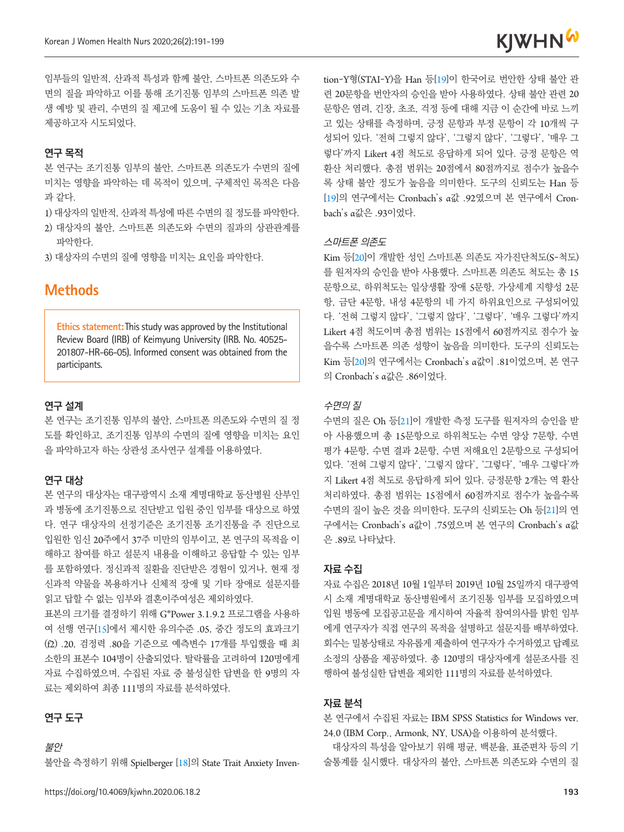

임부들의 일반적, 산과적 특성과 함께 불안, 스마트폰 의존도와 수 면의 질을 파악하고 이를 통해 조기진통 임부의 스마트폰 의존 발 생 예방 및 관리, 수면의 질 제고에 도움이 될 수 있는 기초 자료를 제공하고자 시도되었다.

#### **연구 목적**

본 연구는 조기진통 임부의 불안, 스마트폰 의존도가 수면의 질에 미치는 영향을 파악하는 데 목적이 있으며, 구체적인 목적은 다음 과 같다.

- 1) 대상자의 일반적, 산과적 특성에 따른 수면의 질 정도를 파악한다.
- 2) 대상자의 불안, 스마트폰 의존도와 수면의 질과의 상관관계를 파악한다.
- 3) 대상자의 수면의 질에 영향을 미치는 요인을 파악한다.

## **Methods**

**Ethics statement:**This study was approved by the Institutional Review Board (IRB) of Keimyung University (IRB. No. 40525- 201807-HR-66-05). Informed consent was obtained from the participants.

#### **연구 설계**

본 연구는 조기진통 임부의 불안, 스마트폰 의존도와 수면의 질 정 도를 확인하고, 조기진통 임부의 수면의 질에 영향을 미치는 요인 을 파악하고자 하는 상관성 조사연구 설계를 이용하였다.

#### **연구 대상**

본 연구의 대상자는 대구광역시 소재 계명대학교 동산병원 산부인 과 병동에 조기진통으로 진단받고 입원 중인 임부를 대상으로 하였 다. 연구 대상자의 선정기준은 조기진통 조기진통을 주 진단으로 입원한 임신 20주에서 37주 미만의 임부이고, 본 연구의 목적을 이 해하고 참여를 하고 설문지 내용을 이해하고 응답할 수 있는 임부 를 포함하였다. 정신과적 질환을 진단받은 경험이 있거나, 현재 정 신과적 약물을 복용하거나 신체적 장애 및 기타 장애로 설문지를 읽고 답할 수 없는 임부와 결혼이주여성은 제외하였다.

표본의 크기를 결정하기 위해 G\*Power 3.1.9.2 프로그램을 사용하 여 선행 연구[15]에서 제시한 유의수준 .05, 중간 정도의 효과크기 (f2) .20, 검정력 .80을 기준으로 예측변수 17개를 투입했을 때 최 소한의 표본수 104명이 산출되었다. 탈락률을 고려하여 120명에게 자료 수집하였으며, 수집된 자료 중 불성실한 답변을 한 9명의 자 료는 제외하여 최종 111명의 자료를 분석하였다.

#### **연구 도구**

불안

불안을 측정하기 위해 Spielberger [[18](#page-7-8)]의 State Trait Anxiety Inven-

tion-Y형(STAI-Y)을 Han 등[[19](#page-7-9)]이 한국어로 번안한 상태 불안 관 련 20문항을 번안자의 승인을 받아 사용하였다. 상태 불안 관련 20 문항은 염려, 긴장, 초조, 걱정 등에 대해 지금 이 순간에 바로 느끼 고 있는 상태를 측정하며, 긍정 문항과 부정 문항이 각 10개씩 구 성되어 있다. '전혀 그렇지 않다', '그렇지 않다', '그렇다', '매우 그 렇다'까지 Likert 4점 척도로 응답하게 되어 있다. 긍정 문항은 역 환산 처리했다. 총점 범위는 20점에서 80점까지로 점수가 높을수 록 상태 불안 정도가 높음을 의미한다. 도구의 신뢰도는 Han 등 [[19](#page-7-9)]의 연구에서는 Cronbach's α값 .92였으며 본 연구에서 Cronbach's α값은 .93이었다.

#### 스마트폰 의존도

Kim 등[[20](#page-7-7)]이 개발한 성인 스마트폰 의존도 자가진단척도(S-척도) 를 원저자의 승인을 받아 사용했다. 스마트폰 의존도 척도는 총 15 문항으로, 하위척도는 일상생활 장애 5문항, 가상세계 지향성 2문 항, 금단 4문항, 내성 4문항의 네 가지 하위요인으로 구성되어있 다. '전혀 그렇지 않다', '그렇지 않다', '그렇다', '매우 그렇다'까지 Likert 4점 척도이며 총점 범위는 15점에서 60점까지로 점수가 높 을수록 스마트폰 의존 성향이 높음을 의미한다. 도구의 신뢰도는 Kim 등[[20](#page-7-7)]의 연구에서는 Cronbach's α값이 .81이었으며, 본 연구 의 Cronbach's α값은 .86이었다.

#### 수면의 질

수면의 질은 Oh 등[[21](#page-7-10)]이 개발한 측정 도구를 원저자의 승인을 받 아 사용했으며 총 15문항으로 하위척도는 수면 양상 7문항, 수면 평가 4문항, 수면 결과 2문항, 수면 저해요인 2문항으로 구성되어 있다. '전혀 그렇지 않다', '그렇지 않다', '그렇다', '매우 그렇다'까 지 Likert 4점 척도로 응답하게 되어 있다. 긍정문항 2개는 역 환산 처리하였다. 총점 범위는 15점에서 60점까지로 점수가 높을수록 수면의 질이 높은 것을 의미한다. 도구의 신뢰도는 Oh 등[[21](#page-7-10)]의 연 구에서는 Cronbach's α값이 .75였으며 본 연구의 Cronbach's α값 은 .89로 나타났다.

#### **자료 수집**

자료 수집은 2018년 10월 1일부터 2019년 10월 25일까지 대구광역 시 소재 계명대학교 동산병원에서 조기진통 임부를 모집하였으며 입원 병동에 모집공고문을 게시하여 자율적 참여의사를 밝힌 임부 에게 연구자가 직접 연구의 목적을 설명하고 설문지를 배부하였다. 회수는 밀봉상태로 자유롭게 제출하여 연구자가 수거하였고 답례로 소정의 상품을 제공하였다. 총 120명의 대상자에게 설문조사를 진 행하여 불성실한 답변을 제외한 111명의 자료를 분석하였다.

#### **자료 분석**

본 연구에서 수집된 자료는 IBM SPSS Statistics for Windows ver. 24.0 (IBM Corp., Armonk, NY, USA)을 이용하여 분석했다.

대상자의 특성을 알아보기 위해 평균, 백분율, 표준편차 등의 기 술통계를 실시했다. 대상자의 불안, 스마트폰 의존도와 수면의 질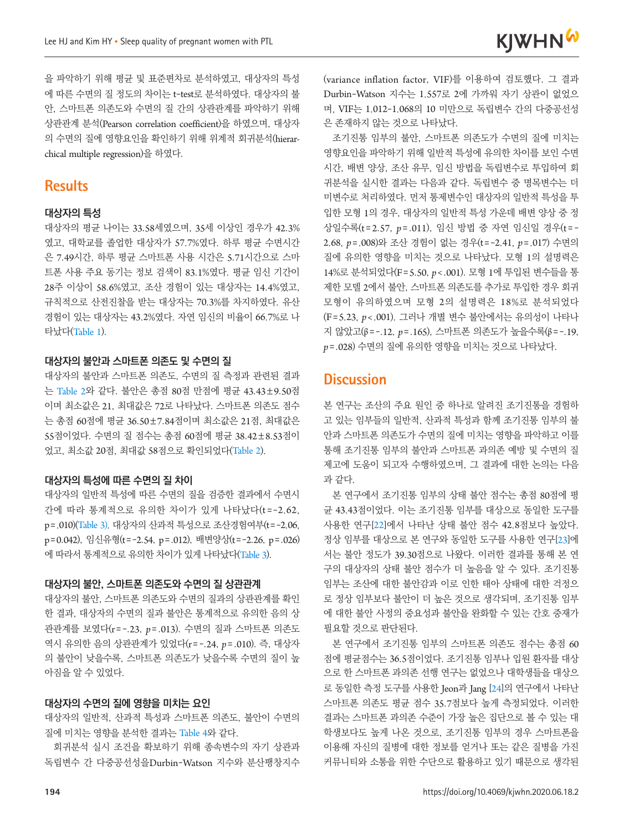을 파악하기 위해 평균 및 표준편차로 분석하였고, 대상자의 특성 에 따른 수면의 질 정도의 차이는 t-test로 분석하였다. 대상자의 불 안, 스마트폰 의존도와 수면의 질 간의 상관관계를 파악하기 위해 상관관계 분석(Pearson correlation coefficient)을 하였으며, 대상자 의 수면의 질에 영향요인을 확인하기 위해 위계적 회귀분석(hierarchical multiple regression)을 하였다.

## **Results**

#### **대상자의 특성**

대상자의 평균 나이는 33.58세였으며, 35세 이상인 경우가 42.3% 였고, 대학교를 졸업한 대상자가 57.7%였다. 하루 평균 수면시간 은 7.49시간, 하루 평균 스마트폰 사용 시간은 5.71시간으로 스마 트폰 사용 주요 동기는 정보 검색이 83.1%였다. 평균 임신 기간이 28주 이상이 58.6%였고, 조산 경험이 있는 대상자는 14.4%였고, 규칙적으로 산전진찰을 받는 대상자는 70.3%를 차지하였다. 유산 경험이 있는 대상자는 43.2%였다. 자연 임신의 비율이 66.7%로 나 타났다([Table](#page-4-0) 1).

#### **대상자의 불안과 스마트폰 의존도 및 수면의 질**

대상자의 불안과 스마트폰 의존도, 수면의 질 측정과 관련된 결과 는 [Table](#page-4-1) 2와 같다. 불안은 총점 80점 만점에 평균 43.43±9.50점 이며 최소값은 21, 최대값은 72로 나타났다. 스마트폰 의존도 점수 는 총점 60점에 평균 36.50±7.84점이며 최소값은 21점, 최대값은 55점이었다. 수면의 질 점수는 총점 60점에 평균 38.42±8.53점이 었고, 최소값 20점, 최대값 58점으로 확인되었다([Table](#page-4-1) 2).

#### **대상자의 특성에 따른 수면의 질 차이**

대상자의 일반적 특성에 따른 수면의 질을 검증한 결과에서 수면시 간에 따라 통계적으로 유의한 차이가 있게 나타났다(t =-2.62, p=.010)(Table 3). 대상자의 산과적 특성으로 조산경험여부(t=-2.06, p=0.042), 임신유형(t=-2.54, p=.012), 배변양상(t=-2.26, p=.026) 에 따라서 통계적으로 유의한 차이가 있게 나타났다(Table 3).

#### **대상자의 불안, 스마트폰 의존도와 수면의 질 상관관계**

대상자의 불안, 스마트폰 의존도와 수면의 질과의 상관관계를 확인 한 결과, 대상자의 수면의 질과 불안은 통계적으로 유의한 음의 상 관관계를 보였다(r=-.23, *p*=.013). 수면의 질과 스마트폰 의존도 역시 유의한 음의 상관관계가 있었다(r=-.24, *p*=.010). 즉, 대상자 의 불안이 낮을수록, 스마트폰 의존도가 낮을수록 수면의 질이 높 아짐을 알 수 있었다.

#### **대상자의 수면의 질에 영향을 미치는 요인**

대상자의 일반적, 산과적 특성과 스마트폰 의존도, 불안이 수면의 질에 미치는 영향을 분석한 결과는 [Table](#page-5-0) 4와 같다.

회귀분석 실시 조건을 확보하기 위해 종속변수의 자기 상관과 독립변수 간 다중공선성을Durbin-Watson 지수와 분산팽창지수 (variance inflation factor, VIF)를 이용하여 검토했다. 그 결과 Durbin-Watson 지수는 1.557로 2에 가까워 자기 상관이 없었으 며, VIF는 1.012-1.068의 10 미만으로 독립변수 간의 다중공선성 은 존재하지 않는 것으로 나타났다.

조기진통 임부의 불안, 스마트폰 의존도가 수면의 질에 미치는 영향요인을 파악하기 위해 일반적 특성에 유의한 차이를 보인 수면 시간, 배변 양상, 조산 유무, 임신 방법을 독립변수로 투입하여 회 귀분석을 실시한 결과는 다음과 같다. 독립변수 중 명목변수는 더 미변수로 처리하였다. 먼저 통제변수인 대상자의 일반적 특성을 투 입한 모형 1의 경우, 대상자의 일반적 특성 가운데 배변 양상 중 정 상일수록(t=2.57, *p*=.011), 임신 방법 중 자연 임신일 경우(t=- 2.68, *p*=.008)와 조산 경험이 없는 경우(t=-2.41, *p*=.017) 수면의 질에 유의한 영향을 미치는 것으로 나타났다. 모형 1의 설명력은 14%로 분석되었다(F=5.50, *p*<.001). 모형 1에 투입된 변수들을 통 제한 모델 2에서 불안, 스마트폰 의존도를 추가로 투입한 경우 회귀 모형이 유의하였으며 모형 2의 설명력은 18%로 분석되었다 (F=5.23, *p*<.001). 그러나 개별 변수 불안에서는 유의성이 나타나 지 않았고(β=-.12, *p*=.165), 스마트폰 의존도가 높을수록(β=-.19, *p*=.028) 수면의 질에 유의한 영향을 미치는 것으로 나타났다.

## **Discussion**

본 연구는 조산의 주요 원인 중 하나로 알려진 조기진통을 경험하 고 있는 임부들의 일반적, 산과적 특성과 함께 조기진통 임부의 불 안과 스마트폰 의존도가 수면의 질에 미치는 영향을 파악하고 이를 통해 조기진통 임부의 불안과 스마트폰 과의존 예방 및 수면의 질 제고에 도움이 되고자 수행하였으며, 그 결과에 대한 논의는 다음 과 같다.

본 연구에서 조기진통 임부의 상태 불안 점수는 총점 80점에 평 균 43.43점이었다. 이는 조기진통 임부를 대상으로 동일한 도구를 사용한 연구[[22](#page-7-11)]에서 나타난 상태 불안 점수 42.8점보다 높았다. 정상 임부를 대상으로 본 연구와 동일한 도구를 사용한 연구[[23](#page-7-12)]에 서는 불안 정도가 39.30점으로 나왔다. 이러한 결과를 통해 본 연 구의 대상자의 상태 불안 점수가 더 높음을 알 수 있다. 조기진통 임부는 조산에 대한 불안감과 이로 인한 태아 상태에 대한 걱정으 로 정상 임부보다 불안이 더 높은 것으로 생각되며, 조기진통 임부 에 대한 불안 사정의 중요성과 불안을 완화할 수 있는 간호 중재가 필요할 것으로 판단된다.

본 연구에서 조기진통 임부의 스마트폰 의존도 점수는 총점 60 점에 평균점수는 36.5점이었다. 조기진통 임부나 입원 환자를 대상 으로 한 스마트폰 과의존 선행 연구는 없었으나 대학생들을 대상으 로 동일한 측정 도구를 사용한 Jeon과 Jang [[24](#page-7-13)]의 연구에서 나타난 스마트폰 의존도 평균 점수 35.7점보다 높게 측정되었다. 이러한 결과는 스마트폰 과의존 수준이 가장 높은 집단으로 볼 수 있는 대 학생보다도 높게 나온 것으로, 조기진통 임부의 경우 스마트폰을 이용해 자신의 질병에 대한 정보를 얻거나 또는 같은 질병을 가진 커뮤니티와 소통을 위한 수단으로 활용하고 있기 때문으로 생각된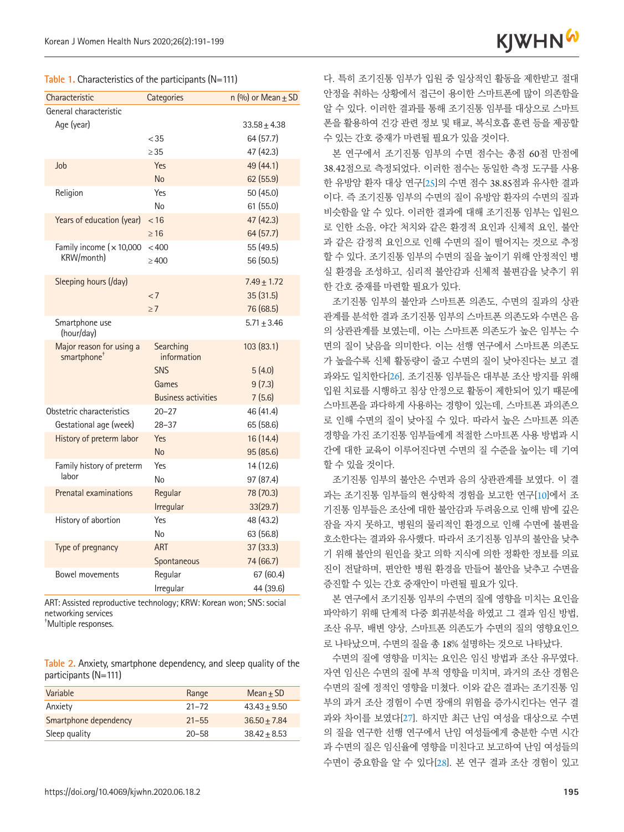

<span id="page-4-0"></span>**Table 1.** Characteristics of the participants (N=111)

| Characteristic                                      | Categories                 | n $(\%)$ or Mean $\pm$ SD |  |  |  |  |  |
|-----------------------------------------------------|----------------------------|---------------------------|--|--|--|--|--|
| General characteristic                              |                            |                           |  |  |  |  |  |
| Age (year)                                          |                            | $33.58 \pm 4.38$          |  |  |  |  |  |
|                                                     | < 35                       | 64 (57.7)                 |  |  |  |  |  |
|                                                     | > 35                       | 47 (42.3)                 |  |  |  |  |  |
| Job                                                 | Yes                        | 49 (44.1)                 |  |  |  |  |  |
|                                                     | <b>No</b>                  | 62 (55.9)                 |  |  |  |  |  |
| Religion                                            | Yes                        | 50 (45.0)                 |  |  |  |  |  |
|                                                     | No                         | 61(55.0)                  |  |  |  |  |  |
| Years of education (year)                           | < 16                       | 47 (42.3)                 |  |  |  |  |  |
|                                                     | $\geq 16$                  | 64 (57.7)                 |  |  |  |  |  |
| Family income $(x 10,000)$                          | < 400                      | 55 (49.5)                 |  |  |  |  |  |
| KRW/month)                                          | $\geq 400$                 | 56 (50.5)                 |  |  |  |  |  |
| Sleeping hours (/day)                               |                            | $7.49 \pm 1.72$           |  |  |  |  |  |
|                                                     | < 7                        | 35 (31.5)                 |  |  |  |  |  |
|                                                     | $\geq 7$                   | 76 (68.5)                 |  |  |  |  |  |
| Smartphone use<br>(hour/day)                        |                            | $5.71 \pm 3.46$           |  |  |  |  |  |
| Major reason for using a<br>smartphone <sup>+</sup> | Searching<br>information   | 103 (83.1)                |  |  |  |  |  |
|                                                     | <b>SNS</b>                 | 5(4.0)                    |  |  |  |  |  |
|                                                     | Games                      | 9(7.3)                    |  |  |  |  |  |
|                                                     | <b>Business activities</b> | 7(5.6)                    |  |  |  |  |  |
| Obstetric characteristics                           | $20 - 27$                  | 46 (41.4)                 |  |  |  |  |  |
| Gestational age (week)                              | $28 - 37$                  | 65 (58.6)                 |  |  |  |  |  |
| History of preterm labor                            | Yes                        | 16 (14.4)                 |  |  |  |  |  |
|                                                     | <b>No</b>                  | 95 (85.6)                 |  |  |  |  |  |
| Family history of preterm                           | Yes                        | 14 (12.6)                 |  |  |  |  |  |
| labor                                               | No                         | 97 (87.4)                 |  |  |  |  |  |
| <b>Prenatal examinations</b>                        | Regular                    | 78 (70.3)                 |  |  |  |  |  |
|                                                     | Irregular                  | 33(29.7)                  |  |  |  |  |  |
| History of abortion                                 | Yes                        | 48 (43.2)                 |  |  |  |  |  |
|                                                     | No                         | 63 (56.8)                 |  |  |  |  |  |
| Type of pregnancy                                   | <b>ART</b>                 | 37 (33.3)                 |  |  |  |  |  |
|                                                     | Spontaneous                | 74 (66.7)                 |  |  |  |  |  |
| <b>Bowel movements</b>                              | Regular                    | 67 (60.4)                 |  |  |  |  |  |
|                                                     | Irregular                  | 44 (39.6)                 |  |  |  |  |  |

ART: Assisted reproductive technology; KRW: Korean won; SNS: social networking services † Multiple responses.

<span id="page-4-1"></span>

|  |                      | Table 2. Anxiety, smartphone dependency, and sleep quality of the |  |  |  |
|--|----------------------|-------------------------------------------------------------------|--|--|--|
|  | participants (N=111) |                                                                   |  |  |  |

| Range     | $Mean + SD$    |
|-----------|----------------|
| $21 - 72$ | $43.43 + 9.50$ |
| $21 - 55$ | $36.50 + 7.84$ |
| $20 - 58$ | $38.42 + 8.53$ |
|           |                |

다. 특히 조기진통 임부가 입원 중 일상적인 활동을 제한받고 절대 안정을 취하는 상황에서 접근이 용이한 스마트폰에 많이 의존함을 알 수 있다. 이러한 결과를 통해 조기진통 임부를 대상으로 스마트 폰을 활용하여 건강 관련 정보 및 태교, 복식호흡 훈련 등을 제공할 수 있는 간호 중재가 마련될 필요가 있을 것이다.

본 연구에서 조기진통 임부의 수면 점수는 총점 60점 만점에 38.42점으로 측정되었다. 이러한 점수는 동일한 측정 도구를 사용 한 유방암 환자 대상 연구[[25](#page-7-14)]의 수면 점수 38.85점과 유사한 결과 이다. 즉 조기진통 임부의 수면의 질이 유방암 환자의 수면의 질과 비슷함을 알 수 있다. 이러한 결과에 대해 조기진통 임부는 입원으 로 인한 소음, 야간 처치와 같은 환경적 요인과 신체적 요인, 불안 과 같은 감정적 요인으로 인해 수면의 질이 떨어지는 것으로 추정 할 수 있다. 조기진통 임부의 수면의 질을 높이기 위해 안정적인 병 실 환경을 조성하고, 심리적 불안감과 신체적 불편감을 낮추기 위 한 간호 중재를 마련할 필요가 있다.

조기진통 임부의 불안과 스마트폰 의존도, 수면의 질과의 상관 관계를 분석한 결과 조기진통 임부의 스마트폰 의존도와 수면은 음 의 상관관계를 보였는데, 이는 스마트폰 의존도가 높은 임부는 수 면의 질이 낮음을 의미한다. 이는 선행 연구에서 스마트폰 의존도 가 높을수록 신체 활동량이 줄고 수면의 질이 낮아진다는 보고 결 과와도 일치한다[[26](#page-7-15)]. 조기진통 임부들은 대부분 조산 방지를 위해 입원 치료를 시행하고 침상 안정으로 활동이 제한되어 있기 때문에 스마트폰을 과다하게 사용하는 경향이 있는데, 스마트폰 과의존으 로 인해 수면의 질이 낮아질 수 있다. 따라서 높은 스마트폰 의존 경향을 가진 조기진통 임부들에게 적절한 스마트폰 사용 방법과 시 간에 대한 교육이 이루어진다면 수면의 질 수준을 높이는 데 기여 할 수 있을 것이다.

조기진통 임부의 불안은 수면과 음의 상관관계를 보였다. 이 결 과는 조기진통 임부들의 현상학적 경험을 보고한 연구[10]에서 조 기진통 임부들은 조산에 대한 불안감과 두려움으로 인해 밤에 깊은 잠을 자지 못하고, 병원의 물리적인 환경으로 인해 수면에 불편을 호소한다는 결과와 유사했다. 따라서 조기진통 임부의 불안을 낮추 기 위해 불안의 원인을 찾고 의학 지식에 의한 정확한 정보를 의료 진이 전달하며, 편안한 병원 환경을 만들어 불안을 낮추고 수면을 증진할 수 있는 간호 중재안이 마련될 필요가 있다.

본 연구에서 조기진통 임부의 수면의 질에 영향을 미치는 요인을 파악하기 위해 단계적 다중 회귀분석을 하였고 그 결과 임신 방법, 조산 유무, 배변 양상, 스마트폰 의존도가 수면의 질의 영향요인으 로 나타났으며, 수면의 질을 총 18% 설명하는 것으로 나타났다.

수면의 질에 영향을 미치는 요인은 임신 방법과 조산 유무였다. 자연 임신은 수면의 질에 부적 영향을 미치며, 과거의 조산 경험은 수면의 질에 정적인 영향을 미쳤다. 이와 같은 결과는 조기진통 임 부의 과거 조산 경험이 수면 장애의 위험을 증가시킨다는 연구 결 과와 차이를 보였다[[27](#page-7-13)]. 하지만 최근 난임 여성을 대상으로 수면 의 질을 연구한 선행 연구에서 난임 여성들에게 충분한 수면 시간 과 수면의 질은 임신율에 영향을 미친다고 보고하여 난임 여성들의 수면이 중요함을 알 수 있다[[28](#page-7-16)]. 본 연구 결과 조산 경험이 있고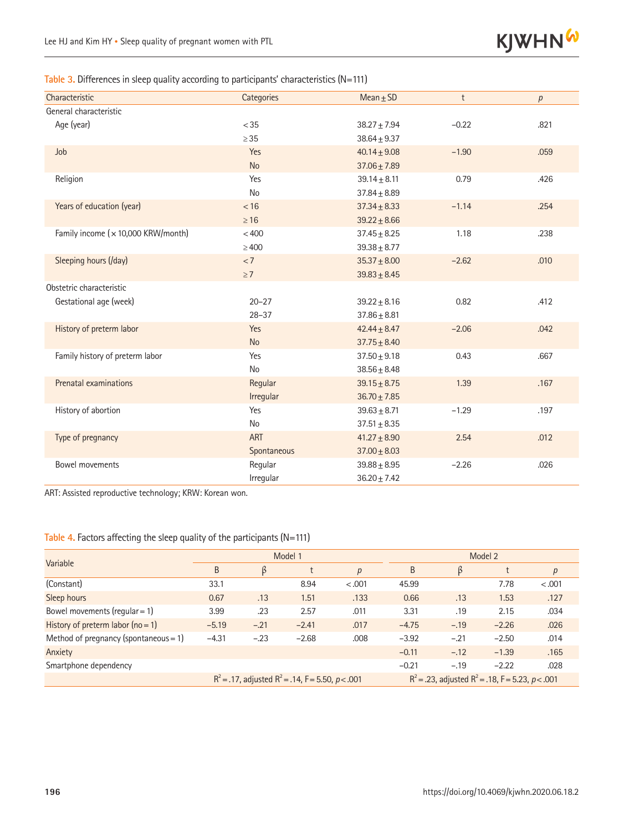

#### Table 3. Differences in sleep quality according to participants' characteristics (N=111)

| Characteristic                     | Categories  | Mean $\pm$ SD    | t       | p    |  |  |
|------------------------------------|-------------|------------------|---------|------|--|--|
| General characteristic             |             |                  |         |      |  |  |
| Age (year)                         | < 35        | $38.27 \pm 7.94$ | $-0.22$ | .821 |  |  |
|                                    | $\geq$ 35   | $38.64 + 9.37$   |         |      |  |  |
| Job                                | Yes         | $40.14 \pm 9.08$ | $-1.90$ | .059 |  |  |
|                                    | <b>No</b>   | $37.06 \pm 7.89$ |         |      |  |  |
| Religion                           | Yes         | $39.14 \pm 8.11$ | 0.79    | .426 |  |  |
|                                    | No          | $37.84 \pm 8.89$ |         |      |  |  |
| Years of education (year)          | < 16        | $37.34 \pm 8.33$ | $-1.14$ | .254 |  |  |
|                                    | $\geq 16$   | $39.22 \pm 8.66$ |         |      |  |  |
| Family income (x 10,000 KRW/month) | < 400       | $37.45 \pm 8.25$ | 1.18    | .238 |  |  |
|                                    | $\geq 400$  | $39.38 \pm 8.77$ |         |      |  |  |
| Sleeping hours (/day)              | $< 7\,$     | $35.37 \pm 8.00$ | $-2.62$ | .010 |  |  |
|                                    | $\geq 7$    | $39.83 \pm 8.45$ |         |      |  |  |
| Obstetric characteristic           |             |                  |         |      |  |  |
| Gestational age (week)             | $20 - 27$   | $39.22 + 8.16$   | 0.82    | .412 |  |  |
|                                    | $28 - 37$   | $37.86 + 8.81$   |         |      |  |  |
| History of preterm labor           | Yes         | $42.44 \pm 8.47$ | $-2.06$ | .042 |  |  |
|                                    | <b>No</b>   | $37.75 \pm 8.40$ |         |      |  |  |
| Family history of preterm labor    | Yes         | $37.50 \pm 9.18$ | 0.43    | .667 |  |  |
|                                    | No          | $38.56 \pm 8.48$ |         |      |  |  |
| Prenatal examinations              | Regular     | $39.15 \pm 8.75$ | 1.39    | .167 |  |  |
|                                    | Irregular   | $36.70 \pm 7.85$ |         |      |  |  |
| History of abortion                | Yes         | $39.63 \pm 8.71$ | $-1.29$ | .197 |  |  |
|                                    | No          | $37.51 \pm 8.35$ |         |      |  |  |
| Type of pregnancy                  | <b>ART</b>  | $41.27 \pm 8.90$ | 2.54    | .012 |  |  |
|                                    | Spontaneous | $37.00 \pm 8.03$ |         |      |  |  |
| Bowel movements                    | Regular     | $39.88 + 8.95$   | $-2.26$ | .026 |  |  |
|                                    | Irregular   | $36.20 \pm 7.42$ |         |      |  |  |

ART: Assisted reproductive technology; KRW: Korean won.

#### <span id="page-5-0"></span>Table 4. Factors affecting the sleep quality of the participants (N=111)

| Variable                                 | Model 1                                               |        |         |                  | Model 2                                               |        |         |        |
|------------------------------------------|-------------------------------------------------------|--------|---------|------------------|-------------------------------------------------------|--------|---------|--------|
|                                          | B                                                     | ß      |         | $\boldsymbol{p}$ | B                                                     | ß      |         | p      |
| (Constant)                               | 33.1                                                  |        | 8.94    | $-.001$          | 45.99                                                 |        | 7.78    | < .001 |
| Sleep hours                              | 0.67                                                  | .13    | 1.51    | .133             | 0.66                                                  | .13    | 1.53    | .127   |
| Bowel movements (regular = $1$ )         | 3.99                                                  | .23    | 2.57    | .011             | 3.31                                                  | .19    | 2.15    | .034   |
| History of preterm labor $(no = 1)$      | $-5.19$                                               | $-.21$ | $-2.41$ | .017             | $-4.75$                                               | $-.19$ | $-2.26$ | .026   |
| Method of pregnancy (spontaneous = $1$ ) | $-4.31$                                               | $-.23$ | $-2.68$ | .008             | $-3.92$                                               | $-.21$ | $-2.50$ | .014   |
| Anxiety                                  |                                                       |        |         |                  | $-0.11$                                               | $-.12$ | $-1.39$ | .165   |
| Smartphone dependency                    |                                                       |        |         |                  | $-0.21$                                               | $-.19$ | $-2.22$ | .028   |
|                                          | $R^2$ = .17, adjusted $R^2$ = .14, F = 5.50, p < .001 |        |         |                  | $R^2$ = .23, adjusted $R^2$ = .18, F = 5.23, p < .001 |        |         |        |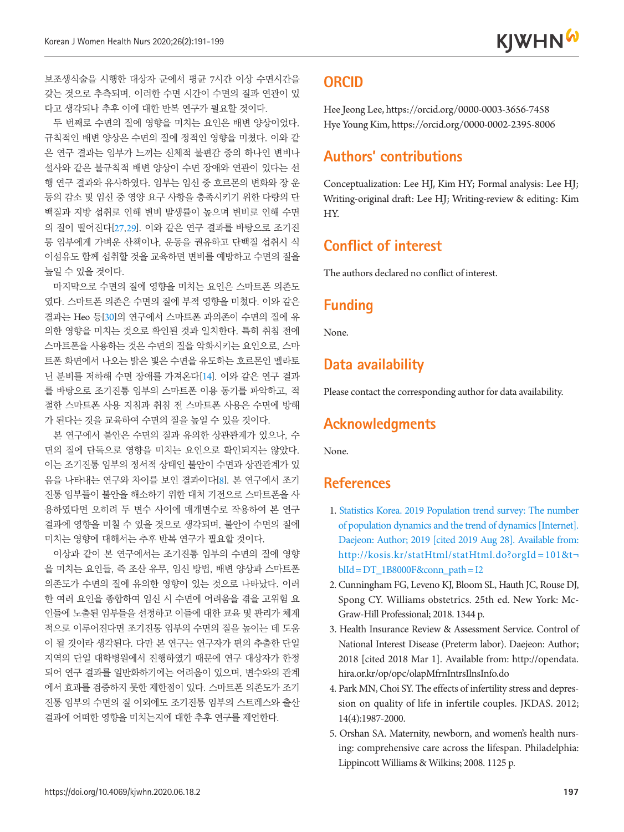보조생식술을 시행한 대상자 군에서 평균 7시간 이상 수면시간을 갖는 것으로 추측되며, 이러한 수면 시간이 수면의 질과 연관이 있 다고 생각되나 추후 이에 대한 반복 연구가 필요할 것이다.

두 번째로 수면의 질에 영향을 미치는 요인은 배변 양상이었다. 규칙적인 배변 양상은 수면의 질에 정적인 영향을 미쳤다. 이와 같 은 연구 결과는 임부가 느끼는 신체적 불편감 중의 하나인 변비나 설사와 같은 불규칙적 배변 양상이 수면 장애와 연관이 있다는 선 행 연구 결과와 유사하였다. 임부는 임신 중 호르몬의 변화와 장 운 동의 감소 및 임신 중 영양 요구 사항을 충족시키기 위한 다량의 단 백질과 지방 섭취로 인해 변비 발생률이 높으며 변비로 인해 수면 의 질이 떨어진다[[27](#page-7-13),[29](#page-7-17)]. 이와 같은 연구 결과를 바탕으로 조기진 통 임부에게 가벼운 산책이나, 운동을 권유하고 단백질 섭취시 식 이섬유도 함께 섭취할 것을 교육하면 변비를 예방하고 수면의 질을 높일 수 있을 것이다.

마지막으로 수면의 질에 영향을 미치는 요인은 스마트폰 의존도 였다. 스마트폰 의존은 수면의 질에 부적 영향을 미쳤다. 이와 같은 결과는 Heo 등[[30](#page-8-0)]의 연구에서 스마트폰 과의존이 수면의 질에 유 의한 영향을 미치는 것으로 확인된 것과 일치한다. 특히 취침 전에 스마트폰을 사용하는 것은 수면의 질을 악화시키는 요인으로, 스마 트폰 화면에서 나오는 밝은 빛은 수면을 유도하는 호르몬인 멜라토 닌 분비를 저하해 수면 장애를 가져온다[14]. 이와 같은 연구 결과 를 바탕으로 조기진통 임부의 스마트폰 이용 동기를 파악하고, 적 절한 스마트폰 사용 지침과 취침 전 스마트폰 사용은 수면에 방해 가 된다는 것을 교육하여 수면의 질을 높일 수 있을 것이다.

본 연구에서 불안은 수면의 질과 유의한 상관관계가 있으나, 수 면의 질에 단독으로 영향을 미치는 요인으로 확인되지는 않았다. 이는 조기진통 임부의 정서적 상태인 불안이 수면과 상관관계가 있 음을 나타내는 연구와 차이를 보인 결과이다[8]. 본 연구에서 조기 진통 임부들이 불안을 해소하기 위한 대처 기전으로 스마트폰을 사 용하였다면 오히려 두 변수 사이에 매개변수로 작용하여 본 연구 결과에 영향을 미칠 수 있을 것으로 생각되며, 불안이 수면의 질에 미치는 영향에 대해서는 추후 반복 연구가 필요할 것이다.

이상과 같이 본 연구에서는 조기진통 임부의 수면의 질에 영향 을 미치는 요인들, 즉 조산 유무, 임신 방법, 배변 양상과 스마트폰 의존도가 수면의 질에 유의한 영향이 있는 것으로 나타났다. 이러 한 여러 요인을 종합하여 임신 시 수면에 어려움을 겪을 고위험 요 인들에 노출된 임부들을 선정하고 이들에 대한 교육 및 관리가 체계 적으로 이루어진다면 조기진통 임부의 수면의 질을 높이는 데 도움 이 될 것이라 생각된다. 다만 본 연구는 연구자가 편의 추출한 단일 지역의 단일 대학병원에서 진행하였기 때문에 연구 대상자가 한정 되어 연구 결과를 일반화하기에는 어려움이 있으며, 변수와의 관계 에서 효과를 검증하지 못한 제한점이 있다. 스마트폰 의존도가 조기 진통 임부의 수면의 질 이외에도 조기진통 임부의 스트레스와 출산 결과에 어떠한 영향을 미치는지에 대한 추후 연구를 제언한다.

## **ORCID**

Hee Jeong Lee, https://orcid.org/0000-0003-3656-7458 Hye Young Kim, https://orcid.org/0000-0002-2395-8006

## **Authors' contributions**

Conceptualization: Lee HJ, Kim HY; Formal analysis: Lee HJ; Writing-original draft: Lee HJ; Writing-review & editing: Kim HY.

## **Conflict of interest**

The authors declared no conflict of interest.

### **Funding**

None.

## **Data availability**

Please contact the corresponding author for data availability.

## **Acknowledgments**

None.

## **References**

- <span id="page-6-0"></span>1. [Statistics Korea. 2019 Population trend survey: The number](http://kosis.kr/statHtml/statHtml.do?orgId=101&t¬blId=DT_1B8000F&conn_path=I2)  [of population dynamics and the trend of dynamics \[Internet\].](http://kosis.kr/statHtml/statHtml.do?orgId=101&t¬blId=DT_1B8000F&conn_path=I2)  [Daejeon: Author; 2019 \[cited 2019 Aug 28\]. Available from:](http://kosis.kr/statHtml/statHtml.do?orgId=101&t¬blId=DT_1B8000F&conn_path=I2)  [http://kosis.kr/statHtml/statHtml.do?orgId = 101&t](http://kosis.kr/statHtml/statHtml.do?orgId=101&t¬blId=DT_1B8000F&conn_path=I2)  $b$ lId = DT\_1B8000F&conn\_path = I2
- <span id="page-6-1"></span>2. Cunningham FG, Leveno KJ, Bloom SL, Hauth JC, Rouse DJ, Spong CY. Williams obstetrics. 25th ed. New York: Mc-Graw-Hill Professional; 2018. 1344 p.
- <span id="page-6-2"></span>3. Health Insurance Review & Assessment Service. Control of National Interest Disease (Preterm labor). Daejeon: Author; 2018 [cited 2018 Mar 1]. Available from: http://opendata. hira.or.kr/op/opc/olapMfrnIntrsIlnsInfo.do
- <span id="page-6-3"></span>4. Park MN, Choi SY. The effects of infertility stress and depression on quality of life in infertile couples. JKDAS. 2012; 14(4):1987-2000.
- <span id="page-6-4"></span>5. Orshan SA. Maternity, newborn, and women's health nursing: comprehensive care across the lifespan. Philadelphia: Lippincott Williams & Wilkins; 2008. 1125 p.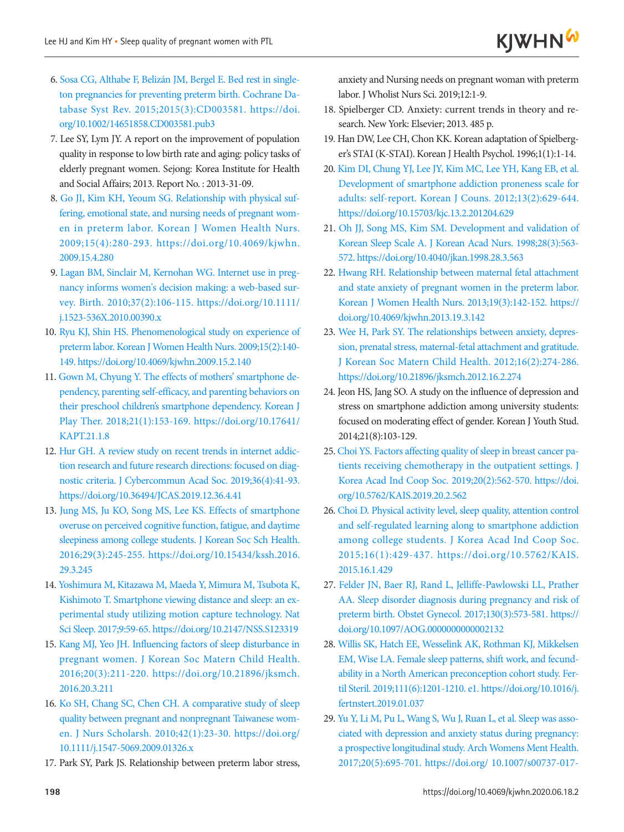- <span id="page-7-0"></span>6[. Sosa CG, Althabe F, Belizán JM, Bergel E. Bed rest in single](https://doi.org/10.1002/14651858.CD003581.pub3)[ton pregnancies for preventing preterm birth. Cochrane Da](https://doi.org/10.1002/14651858.CD003581.pub3)[tabase Syst Rev. 2015;2015\(3\):CD003581. https://doi.](https://doi.org/10.1002/14651858.CD003581.pub3) [org/10.1002/14651858.CD003581.pub3](https://doi.org/10.1002/14651858.CD003581.pub3)
- <span id="page-7-1"></span>7. Lee SY, Lym JY. A report on the improvement of population quality in response to low birth rate and aging: policy tasks of elderly pregnant women. Sejong: Korea Institute for Health and Social Affairs; 2013. Report No. : 2013-31-09.
- <span id="page-7-3"></span>8. Go JI, Kim KH, [Yeoum SG. Relationship with physical suf](https://doi.org/10.4069/kjwhn.2009.15.4.280)[fering, emotional state, and nursing needs of pregnant wom](https://doi.org/10.4069/kjwhn.2009.15.4.280)[en in preterm labor. Korean J Women Health Nurs.](https://doi.org/10.4069/kjwhn.2009.15.4.280) [2009;15\(4\):280-293. https://doi.org/10.4069/kjwhn.](https://doi.org/10.4069/kjwhn.2009.15.4.280) [2009.15.4.280](https://doi.org/10.4069/kjwhn.2009.15.4.280)
- 9. [Lagan BM, Sinclair M, Kernohan WG. Internet use in preg](https://doi.org/10.1111/j.1523-536X.2010.00390.x)[nancy informs women's decision making: a web-based sur](https://doi.org/10.1111/j.1523-536X.2010.00390.x)[vey. Birth. 2010;37\(2\):106-115. https://doi.org/10.1111/](https://doi.org/10.1111/j.1523-536X.2010.00390.x) [j.1523-536X.2010.00390.x](https://doi.org/10.1111/j.1523-536X.2010.00390.x)
- <span id="page-7-5"></span>10. Ryu KJ, Shin HS. Phenomenological study on [experience of](https://doi.org/10.4069/kjwhn.2009.15.2.140) [preterm labor. Korean J Women Health Nurs. 2009;15\(2\):140-](https://doi.org/10.4069/kjwhn.2009.15.2.140) [149. https://doi.org/10.4069/kjwhn.2009.15.2.140](https://doi.org/10.4069/kjwhn.2009.15.2.140)
- <span id="page-7-2"></span>11. [Gown M, Chyung Y. The effects of mothers' smartphone de](https://doi.org/10.17641/KAPT.21.1.8)[pendency, parenting self-efficacy, and parenting behaviors on](https://doi.org/10.17641/KAPT.21.1.8) [their preschool children's smartphone dependency. Korean J](https://doi.org/10.17641/KAPT.21.1.8) [Play Ther. 2018;21\(1\):153-169. https://doi.org/10.17641/](https://doi.org/10.17641/KAPT.21.1.8) [KAPT.21.1.8](https://doi.org/10.17641/KAPT.21.1.8)
- 12. [Hur GH. A review study on recent trends in internet addic](https://doi.org/10.36494/JCAS.2019.12.36.4.41)[tion research and future research directions: focused on diag](https://doi.org/10.36494/JCAS.2019.12.36.4.41)[nostic criteria. J Cybercommun Acad Soc. 2019;36\(4\):41-93.](https://doi.org/10.36494/JCAS.2019.12.36.4.41) <https://doi.org/10.36494/JCAS.2019.12.36.4.41>
- <span id="page-7-4"></span>1[3. Jung MS, Ju KO, Song MS, Lee KS. Effects of smartphone](https://doi.org/10.15434/kssh.2016.29.3.245)  [overuse on perceived cognitive function, fatigue, and daytime](https://doi.org/10.15434/kssh.2016.29.3.245) [sleepiness among college students. J Korean Soc Sch Health.](https://doi.org/10.15434/kssh.2016.29.3.245) [2016;29\(3\):245-255. https://doi.org/10.15434/kssh.2016.](https://doi.org/10.15434/kssh.2016.29.3.245) [29.3.245](https://doi.org/10.15434/kssh.2016.29.3.245)
- 14. [Yoshimura M, Kitazawa M, Maeda Y, Mimura M, Tsubota K,](https://doi.org/10.2147/NSS.S123319) [Kishimoto T. Smartphone viewing distance and sleep: an ex](https://doi.org/10.2147/NSS.S123319)[perimental study utilizing motion capture technology. Nat](https://doi.org/10.2147/NSS.S123319)  [Sci Sleep. 2017;9:59-65. https://doi.org/10.2147/NSS.S123319](https://doi.org/10.2147/NSS.S123319)
- 15. [Kang MJ, Yeo JH. Influencing factors of sleep disturbance in](https://doi.org/10.21896/jksmch.2016.20.3.211) [pregnant women. J Korean Soc Matern Child Health.](https://doi.org/10.21896/jksmch.2016.20.3.211) [2016;20\(3\):211-220. https://doi.org/10.21896/jksmch.](https://doi.org/10.21896/jksmch.2016.20.3.211) [2016.20.3.211](https://doi.org/10.21896/jksmch.2016.20.3.211)
- <span id="page-7-6"></span>16[. Ko SH, Chang SC, Chen CH. A comparative study of sleep](https://doi.org/10.1111/j.1547-5069.2009.01326.x) [quality between pregnant and nonpregnant Taiwanese wom](https://doi.org/10.1111/j.1547-5069.2009.01326.x)[en. J Nurs Scholarsh. 2010;42\(1\):23-30. https://doi.org/](https://doi.org/10.1111/j.1547-5069.2009.01326.x) [10.1111/j.1547-5069.2009.01326.x](https://doi.org/10.1111/j.1547-5069.2009.01326.x)
- <span id="page-7-7"></span>17. Park SY, Park JS. Relationship between preterm labor stress,

<span id="page-7-10"></span>anxiety and Nursing needs on pregnant woman with preterm labor. J Wholist Nurs Sci. 2019;12:1-9.

- <span id="page-7-8"></span>18. Spielberger CD. Anxiety: current trends in theory and research. New York: Elsevier; 2013. 485 p.
- <span id="page-7-9"></span>19. Han DW, Lee CH, Chon KK. Korean adaptation of Spielberger's STAI (K-STAI). Korean J Health Psychol. 1996;1(1):1-14.
- 20. [Kim DI, Chung YJ, Lee JY, Kim MC, Lee YH, Kang EB, et al.](https://doi.org/10.15703/kjc.13.2.201204.629)  [Development of smartphone addiction proneness scale for](https://doi.org/10.15703/kjc.13.2.201204.629)  [adults: self-report. Korean J Couns. 2012;13\(2\):629-644.](https://doi.org/10.15703/kjc.13.2.201204.629)  <https://doi.org/10.15703/kjc.13.2.201204.629>
- 21. [Oh JJ, Song MS, Kim SM. Development and validation of](https://doi.org/10.4040/jkan.1998.28.3.563)  [Korean Sleep Scale A. J Korean Acad Nurs. 1998;28\(3\):563-](https://doi.org/10.4040/jkan.1998.28.3.563) [572. https://doi.org/10.4040/jkan.1998.28.3.563](https://doi.org/10.4040/jkan.1998.28.3.563)
- <span id="page-7-11"></span>2[2. Hwang RH. Relationship between maternal fetal attachment](https://doi.org/10.4069/kjwhn.2013.19.3.142)  [and state anxiety of pregnant women in the preterm labor.](https://doi.org/10.4069/kjwhn.2013.19.3.142)  [Korean J Women Health Nurs. 2013;19\(3\):142-152. https://](https://doi.org/10.4069/kjwhn.2013.19.3.142) [doi.org/10.4069/kjwhn.2013.19.3.142](https://doi.org/10.4069/kjwhn.2013.19.3.142)
- <span id="page-7-12"></span>2[3. Wee H, Park SY. The relationships between anxiety, depres](https://doi.org/10.21896/jksmch.2012.16.2.274)[sion, prenatal stress, maternal-fetal attachment and gratitude.](https://doi.org/10.21896/jksmch.2012.16.2.274)  [J Korean Soc Matern Child Health. 2012;16\(2\):274-286.](https://doi.org/10.21896/jksmch.2012.16.2.274)  <https://doi.org/10.21896/jksmch.2012.16.2.274>
- <span id="page-7-13"></span>24. Jeon HS, Jang SO. A study on the influence of depression and stress on smartphone addiction among university students: focused on moderating effect of gender. Korean J Youth Stud. 2014;21(8):103-129.
- <span id="page-7-14"></span>2[5. Choi YS. Factors affecting quality of sleep in breast cancer pa](https://doi.org/10.5762/KAIS.2019.20.2.562)[tients receiving chemotherapy in the outpatient settings. J](https://doi.org/10.5762/KAIS.2019.20.2.562)  [Korea Acad Ind Coop Soc. 2019;20\(2\):562-570. https://doi.](https://doi.org/10.5762/KAIS.2019.20.2.562) [org/10.5762/KAIS.2019.20.2.562](https://doi.org/10.5762/KAIS.2019.20.2.562)
- <span id="page-7-15"></span>2[6. Choi D. Physical activity level, sleep quality, attention control](https://doi.org/10.5762/KAIS.2015.16.1.429)  [and self-regulated learning along to smartphone addiction](https://doi.org/10.5762/KAIS.2015.16.1.429)  [among college students. J Korea Acad Ind Coop Soc.](https://doi.org/10.5762/KAIS.2015.16.1.429)  [2015;16\(1\):429-437. https://doi.org/10.5762/KAIS.](https://doi.org/10.5762/KAIS.2015.16.1.429) [2015.16.1.429](https://doi.org/10.5762/KAIS.2015.16.1.429)
- 27. [Felder JN, Baer RJ, Rand L, Jelliffe-Pawlowski LL, Prather](https://doi.org/10.1097/AOG.0000000000002132)  [AA. Sleep disorder diagnosis during pregnancy and risk of](https://doi.org/10.1097/AOG.0000000000002132)  [preterm birth. Obstet Gynecol. 2017;130\(3\):573-581. https://](https://doi.org/10.1097/AOG.0000000000002132) [doi.org/10.1097/AOG.0000000000002132](https://doi.org/10.1097/AOG.0000000000002132)
- <span id="page-7-16"></span>2[8. Willis SK, Hatch EE, Wesselink AK, Rothman KJ, Mikkelsen](https://doi.org/10.1016/j.fertnstert.2019.01.037)  [EM, Wise LA. Female sleep patterns, shift work, and fecund](https://doi.org/10.1016/j.fertnstert.2019.01.037)[ability in a North American preconception cohort study. Fer](https://doi.org/10.1016/j.fertnstert.2019.01.037)[til Steril. 2019;111\(6\):1201-1210. e1. https://doi.org/10.1016/j.](https://doi.org/10.1016/j.fertnstert.2019.01.037) [fertnstert.2019.01.037](https://doi.org/10.1016/j.fertnstert.2019.01.037)
- <span id="page-7-17"></span>2[9. Yu Y, Li M, Pu L, Wang S, Wu J, Ruan L, et al. Sleep was asso](https://doi.org/10.1007/s00737-017-0754-5)[ciated with depression and anxiety status during pregnancy:](https://doi.org/10.1007/s00737-017-0754-5)  [a prospective longitudinal study. Arch Womens Ment Health.](https://doi.org/10.1007/s00737-017-0754-5)  [2017;20\(5\):695-701. https://doi.org/ 10.1007/s00737-017-](https://doi.org/10.1007/s00737-017-0754-5)